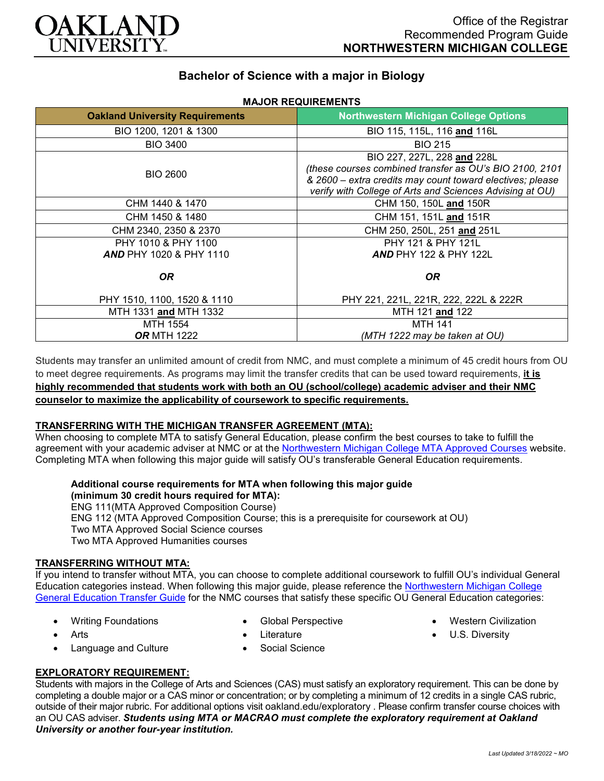

## **Bachelor of Science with a major in Biology**

**MAJOR REQUIREMENTS**

| <b>Oakland University Requirements</b>                    | <b>Northwestern Michigan College Options</b>                                                                                                                                                                    |
|-----------------------------------------------------------|-----------------------------------------------------------------------------------------------------------------------------------------------------------------------------------------------------------------|
| BIO 1200, 1201 & 1300                                     | BIO 115, 115L, 116 and 116L                                                                                                                                                                                     |
| <b>BIO 3400</b>                                           | <b>BIO 215</b>                                                                                                                                                                                                  |
| <b>BIO 2600</b>                                           | BIO 227, 227L, 228 and 228L<br>(these courses combined transfer as OU's BIO 2100, 2101<br>& 2600 - extra credits may count toward electives; please<br>verify with College of Arts and Sciences Advising at OU) |
| CHM 1440 & 1470                                           | CHM 150, 150L and 150R                                                                                                                                                                                          |
| CHM 1450 & 1480                                           | CHM 151, 151L and 151R                                                                                                                                                                                          |
| CHM 2340, 2350 & 2370                                     | CHM 250, 250L, 251 and 251L                                                                                                                                                                                     |
| PHY 1010 & PHY 1100<br><b>AND PHY 1020 &amp; PHY 1110</b> | PHY 121 & PHY 121L<br><b>AND PHY 122 &amp; PHY 122L</b>                                                                                                                                                         |
| OR.                                                       | OR.                                                                                                                                                                                                             |
| PHY 1510, 1100, 1520 & 1110                               | PHY 221, 221L, 221R, 222, 222L & 222R                                                                                                                                                                           |
| MTH 1331 and MTH 1332                                     | MTH 121 and 122                                                                                                                                                                                                 |
| MTH 1554                                                  | <b>MTH 141</b>                                                                                                                                                                                                  |
| <b>OR MTH 1222</b>                                        | (MTH 1222 may be taken at OU)                                                                                                                                                                                   |

Students may transfer an unlimited amount of credit from NMC, and must complete a minimum of 45 credit hours from OU to meet degree requirements. As programs may limit the transfer credits that can be used toward requirements, **it is highly recommended that students work with both an OU (school/college) academic adviser and their NMC counselor to maximize the applicability of coursework to specific requirements.**

### **TRANSFERRING WITH THE MICHIGAN TRANSFER AGREEMENT (MTA):**

When choosing to complete MTA to satisfy General Education, please confirm the best courses to take to fulfill the agreement with your academic adviser at NMC or at the [Northwestern Michigan College MTA Approved Courses](https://www.nmc.edu/programs/course-descriptions/group-1-courses-for-mta.pdf) website. Completing MTA when following this major guide will satisfy OU's transferable General Education requirements.

# **Additional course requirements for MTA when following this major guide**

**(minimum 30 credit hours required for MTA):** ENG 111(MTA Approved Composition Course) ENG 112 (MTA Approved Composition Course; this is a prerequisite for coursework at OU) Two MTA Approved Social Science courses Two MTA Approved Humanities courses

#### **TRANSFERRING WITHOUT MTA:**

If you intend to transfer without MTA, you can choose to complete additional coursework to fulfill OU's individual General Education categories instead. When following this major guide, please reference the [Northwestern Michigan College](https://www.oakland.edu/Assets/Oakland/program-guides/northwestern-michigan-college/university-general-education-requirements/Northwestern%20Gen%20Ed.pdf)  [General Education Transfer Guide](https://www.oakland.edu/Assets/Oakland/program-guides/northwestern-michigan-college/university-general-education-requirements/Northwestern%20Gen%20Ed.pdf) for the NMC courses that satisfy these specific OU General Education categories:

• Writing Foundations

• Global Perspective

• Western Civilization

- Arts
- Language and Culture
- Literature • Social Science
- 
- U.S. Diversity

**EXPLORATORY REQUIREMENT:**

Students with majors in the College of Arts and Sciences (CAS) must satisfy an exploratory requirement. This can be done by completing a double major or a CAS minor or concentration; or by completing a minimum of 12 credits in a single CAS rubric, outside of their major rubric. For additional options visit [oakland.edu/exploratory](http://www.oakland.edu/exploratory) . Please confirm transfer course choices with an OU CAS adviser. *Students using MTA or MACRAO must complete the exploratory requirement at Oakland University or another four-year institution.*